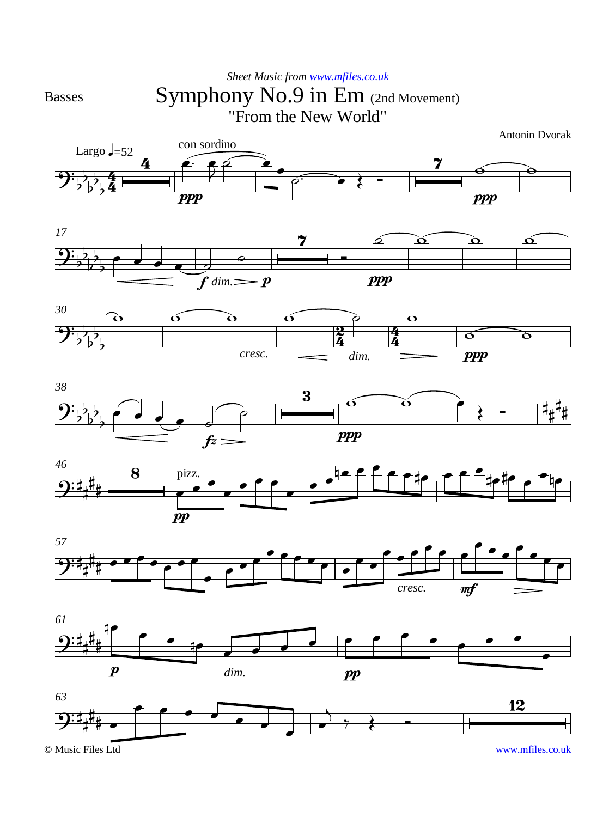Basses

## Symphony No.9 in Em (2nd Movement) "From the New World" *Sheet Music from [www.mfiles.co.uk](http://www.mfiles.co.uk)*

Antonin Dvorak